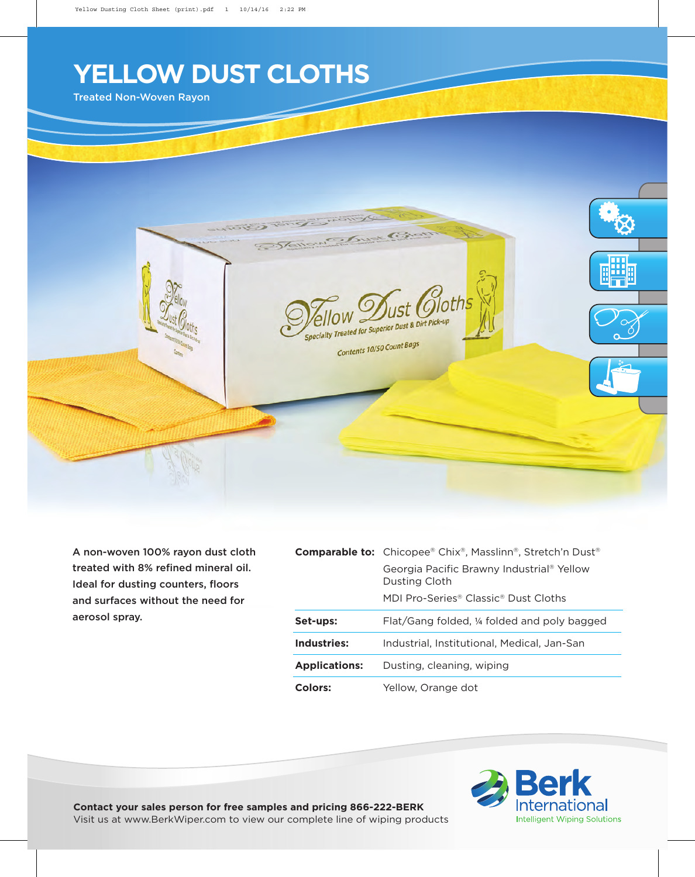## **YELLOW DUST CLOTHS**

Treated Non-Woven Rayon



A non-woven 100% rayon dust cloth treated with 8% refined mineral oil. Ideal for dusting counters, floors and surfaces without the need for aerosol spray.

|                      | <b>Comparable to:</b> Chicopee® Chix®, Masslinn®, Stretch'n Dust®      |  |  |
|----------------------|------------------------------------------------------------------------|--|--|
|                      | Georgia Pacific Brawny Industrial <sup>®</sup> Yellow<br>Dusting Cloth |  |  |
|                      | MDI Pro-Series® Classic® Dust Cloths                                   |  |  |
| Set-ups:             | Flat/Gang folded, ¼ folded and poly bagged                             |  |  |
| Industries:          | Industrial, Institutional, Medical, Jan-San                            |  |  |
| <b>Applications:</b> | Dusting, cleaning, wiping                                              |  |  |
| Colors:              | Yellow, Orange dot                                                     |  |  |



**Contact your sales person for free samples and pricing 866-222-BERK** Visit us at www.BerkWiper.com to view our complete line of wiping products